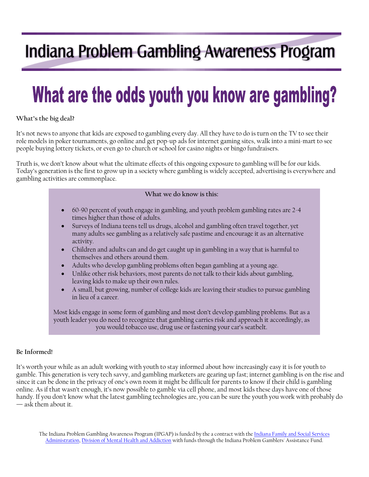# Indiana Problem Gambling Awareness Program

# What are the odds youth you know are gambling?

### **What's the big deal?**

It's not news to anyone that kids are exposed to gambling every day. All they have to do is turn on the TV to see their role models in poker tournaments, go online and get pop-up ads for internet gaming sites, walk into a mini-mart to see people buying lottery tickets, or even go to church or school for casino nights or bingo fundraisers.

Truth is, we don't know about what the ultimate effects of this ongoing exposure to gambling will be for our kids. Today's generation is the first to grow up in a society where gambling is widely accepted, advertising is everywhere and gambling activities are commonplace.

#### **What we do know is this:**

- 60-90 percent of youth engage in gambling, and youth problem gambling rates are 2-4 times higher than those of adults.
- Surveys of Indiana teens tell us drugs, alcohol and gambling often travel together, yet many adults see gambling as a relatively safe pastime and encourage it as an alternative activity.
- Children and adults can and do get caught up in gambling in a way that is harmful to themselves and others around them.
- Adults who develop gambling problems often began gambling at a young age.
- Unlike other risk behaviors, most parents do not talk to their kids about gambling, leaving kids to make up their own rules.
- A small, but growing, number of college kids are leaving their studies to pursue gambling in lieu of a career.

Most kids engage in some form of gambling and most don't develop gambling problems. But as a youth leader you do need to recognize that gambling carries risk and approach it accordingly, as you would tobacco use, drug use or fastening your car's seatbelt.

#### **Be Informed!**

It's worth your while as an adult working with youth to stay informed about how increasingly easy it is for youth to gamble. This generation is very tech savvy, and gambling marketers are gearing up fast; internet gambling is on the rise and since it can be done in the privacy of one's own room it might be difficult for parents to know if their child is gambling online. As if that wasn't enough, it's now possible to gamble via cell phone, and most kids these days have one of those handy. If you don't know what the latest gambling technologies are, you can be sure the youth you work with probably do — ask them about it.